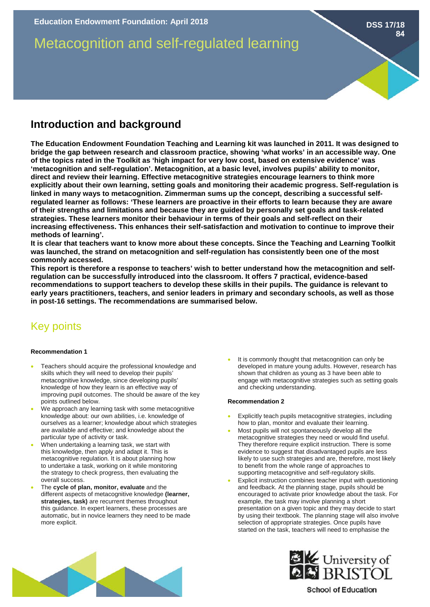# **Introduction and background**

**The Education Endowment Foundation Teaching and Learning kit was launched in 2011. It was designed to bridge the gap between research and classroom practice, showing 'what works' in an accessible way. One of the topics rated in the Toolkit as 'high impact for very low cost, based on extensive evidence' was 'metacognition and self-regulation'. Metacognition, at a basic level, involves pupils' ability to monitor, direct and review their learning. Effective metacognitive strategies encourage learners to think more explicitly about their own learning, setting goals and monitoring their academic progress. Self-regulation is linked in many ways to metacognition. Zimmerman sums up the concept, describing a successful selfregulated learner as follows: 'These learners are proactive in their efforts to learn because they are aware of their strengths and limitations and because they are guided by personally set goals and task-related strategies. These learners monitor their behaviour in terms of their goals and self-reflect on their increasing effectiveness. This enhances their self-satisfaction and motivation to continue to improve their methods of learning'.** 

**It is clear that teachers want to know more about these concepts. Since the Teaching and Learning Toolkit was launched, the strand on metacognition and self-regulation has consistently been one of the most commonly accessed.**

**This report is therefore a response to teachers' wish to better understand how the metacognition and selfregulation can be successfully introduced into the classroom. It offers 7 practical, evidence-based recommendations to support teachers to develop these skills in their pupils. The guidance is relevant to early years practitioners, teachers, and senior leaders in primary and secondary schools, as well as those in post-16 settings. The recommendations are summarised below.** 

# Key points

### **Recommendation 1**

- Teachers should acquire the professional knowledge and skills which they will need to develop their pupils' metacognitive knowledge, since developing pupils' knowledge of how they learn is an effective way of improving pupil outcomes. The should be aware of the key points outlined below.
- We approach any learning task with some metacognitive knowledge about: our own abilities, i.e. knowledge of ourselves as a learner; knowledge about which strategies are available and effective; and knowledge about the particular type of activity or task.
- When undertaking a learning task, we start with this knowledge, then apply and adapt it. This is metacognitive regulation. It is about planning how to undertake a task, working on it while monitoring the strategy to check progress, then evaluating the overall success.
- The **cycle of plan, monitor, evaluate** and the different aspects of metacognitive knowledge **(learner, strategies, task)** are recurrent themes throughout this guidance. In expert learners, these processes are automatic, but in novice learners they need to be made more explicit.

It is commonly thought that metacognition can only be developed in mature young adults. However, research has shown that children as young as 3 have been able to engage with metacognitive strategies such as setting goals and checking understanding.

#### **Recommendation 2**

- Explicitly teach pupils metacognitive strategies, including how to plan, monitor and evaluate their learning.
- Most pupils will not spontaneously develop all the metacognitive strategies they need or would find useful. They therefore require explicit instruction. There is some evidence to suggest that disadvantaged pupils are less likely to use such strategies and are, therefore, most likely to benefit from the whole range of approaches to supporting metacognitive and self-regulatory skills.
- Explicit instruction combines teacher input with questioning and feedback. At the planning stage, pupils should be encouraged to activate prior knowledge about the task. For example, the task may involve planning a short presentation on a given topic and they may decide to start by using their textbook. The planning stage will also involve selection of appropriate strategies. Once pupils have started on the task, teachers will need to emphasise the





**School of Education**